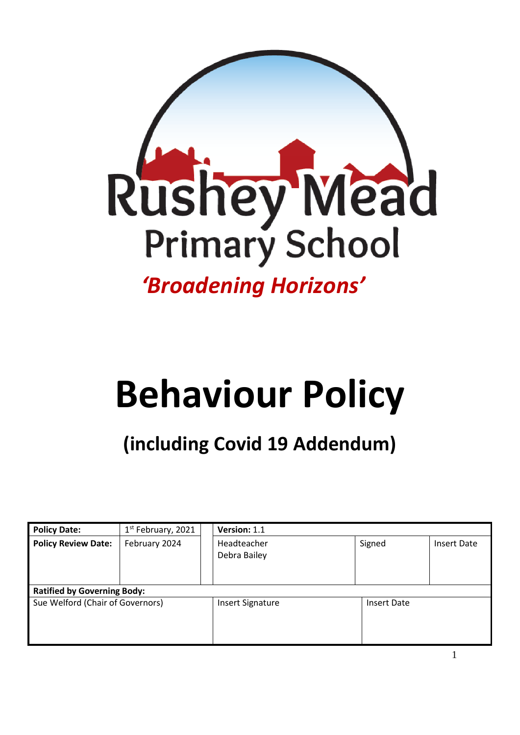

# **Behaviour Policy**

# **(including Covid 19 Addendum)**

| <b>Policy Date:</b>                | 1 <sup>st</sup> February, 2021 | Version: 1.1                |        |                    |  |
|------------------------------------|--------------------------------|-----------------------------|--------|--------------------|--|
| <b>Policy Review Date:</b>         | February 2024                  | Headteacher<br>Debra Bailey | Signed | Insert Date        |  |
| <b>Ratified by Governing Body:</b> |                                |                             |        |                    |  |
| Sue Welford (Chair of Governors)   |                                | <b>Insert Signature</b>     |        | <b>Insert Date</b> |  |

1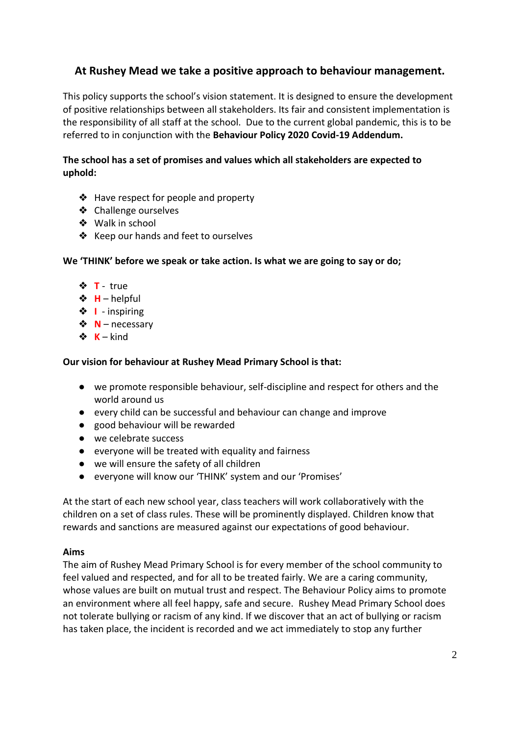#### **At Rushey Mead we take a positive approach to behaviour management.**

This policy supports the school's vision statement. It is designed to ensure the development of positive relationships between all stakeholders. Its fair and consistent implementation is the responsibility of all staff at the school. Due to the current global pandemic, this is to be referred to in conjunction with the **Behaviour Policy 2020 Covid-19 Addendum.**

#### **The school has a set of promises and values which all stakeholders are expected to uphold:**

- ❖ Have respect for people and property
- ❖ Challenge ourselves
- ❖ Walk in school
- ❖ Keep our hands and feet to ourselves

**We 'THINK' before we speak or take action. Is what we are going to say or do;**

- ❖ **T** true
- ❖ **H** helpful
- ❖ **I** inspiring
- ❖ **N** necessary
- $\mathbf{\hat{x}} \cdot \mathbf{K}$  kind

#### **Our vision for behaviour at Rushey Mead Primary School is that:**

- we promote responsible behaviour, self-discipline and respect for others and the world around us
- every child can be successful and behaviour can change and improve
- good behaviour will be rewarded
- we celebrate success
- everyone will be treated with equality and fairness
- we will ensure the safety of all children
- everyone will know our 'THINK' system and our 'Promises'

At the start of each new school year, class teachers will work collaboratively with the children on a set of class rules. These will be prominently displayed. Children know that rewards and sanctions are measured against our expectations of good behaviour.

#### **Aims**

The aim of Rushey Mead Primary School is for every member of the school community to feel valued and respected, and for all to be treated fairly. We are a caring community, whose values are built on mutual trust and respect. The Behaviour Policy aims to promote an environment where all feel happy, safe and secure. Rushey Mead Primary School does not tolerate bullying or racism of any kind. If we discover that an act of bullying or racism has taken place, the incident is recorded and we act immediately to stop any further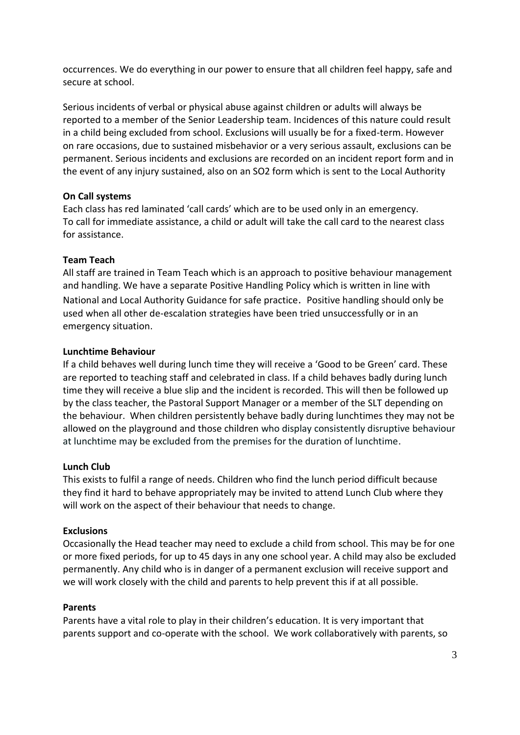occurrences. We do everything in our power to ensure that all children feel happy, safe and secure at school.

Serious incidents of verbal or physical abuse against children or adults will always be reported to a member of the Senior Leadership team. Incidences of this nature could result in a child being excluded from school. Exclusions will usually be for a fixed-term. However on rare occasions, due to sustained misbehavior or a very serious assault, exclusions can be permanent. Serious incidents and exclusions are recorded on an incident report form and in the event of any injury sustained, also on an SO2 form which is sent to the Local Authority

#### **On Call systems**

Each class has red laminated 'call cards' which are to be used only in an emergency. To call for immediate assistance, a child or adult will take the call card to the nearest class for assistance.

#### **Team Teach**

All staff are trained in Team Teach which is an approach to positive behaviour management and handling. We have a separate Positive Handling Policy which is written in line with National and Local Authority Guidance for safe practice. Positive handling should only be used when all other de-escalation strategies have been tried unsuccessfully or in an emergency situation.

#### **Lunchtime Behaviour**

If a child behaves well during lunch time they will receive a 'Good to be Green' card. These are reported to teaching staff and celebrated in class. If a child behaves badly during lunch time they will receive a blue slip and the incident is recorded. This will then be followed up by the class teacher, the Pastoral Support Manager or a member of the SLT depending on the behaviour. When children persistently behave badly during lunchtimes they may not be allowed on the playground and those children who display consistently disruptive behaviour at lunchtime may be excluded from the premises for the duration of lunchtime.

#### **Lunch Club**

This exists to fulfil a range of needs. Children who find the lunch period difficult because they find it hard to behave appropriately may be invited to attend Lunch Club where they will work on the aspect of their behaviour that needs to change.

#### **Exclusions**

Occasionally the Head teacher may need to exclude a child from school. This may be for one or more fixed periods, for up to 45 days in any one school year. A child may also be excluded permanently. Any child who is in danger of a permanent exclusion will receive support and we will work closely with the child and parents to help prevent this if at all possible.

#### **Parents**

Parents have a vital role to play in their children's education. It is very important that parents support and co-operate with the school. We work collaboratively with parents, so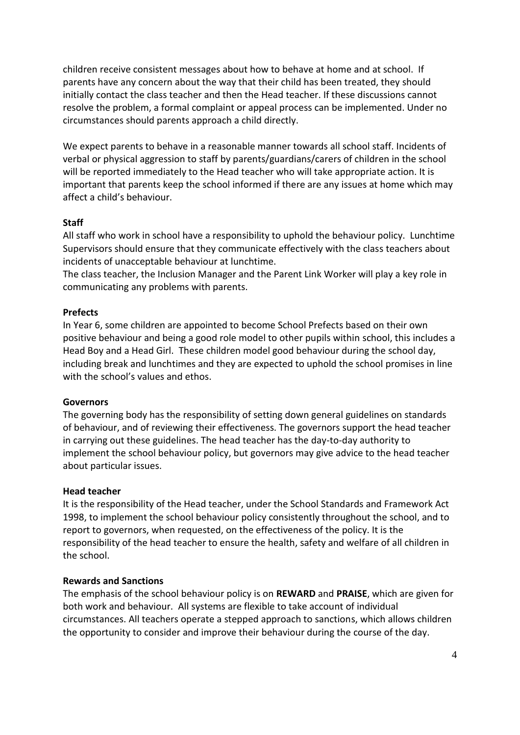children receive consistent messages about how to behave at home and at school. If parents have any concern about the way that their child has been treated, they should initially contact the class teacher and then the Head teacher. If these discussions cannot resolve the problem, a formal complaint or appeal process can be implemented. Under no circumstances should parents approach a child directly.

We expect parents to behave in a reasonable manner towards all school staff. Incidents of verbal or physical aggression to staff by parents/guardians/carers of children in the school will be reported immediately to the Head teacher who will take appropriate action. It is important that parents keep the school informed if there are any issues at home which may affect a child's behaviour.

#### **Staff**

All staff who work in school have a responsibility to uphold the behaviour policy. Lunchtime Supervisors should ensure that they communicate effectively with the class teachers about incidents of unacceptable behaviour at lunchtime.

The class teacher, the Inclusion Manager and the Parent Link Worker will play a key role in communicating any problems with parents.

#### **Prefects**

In Year 6, some children are appointed to become School Prefects based on their own positive behaviour and being a good role model to other pupils within school, this includes a Head Boy and a Head Girl. These children model good behaviour during the school day, including break and lunchtimes and they are expected to uphold the school promises in line with the school's values and ethos.

#### **Governors**

The governing body has the responsibility of setting down general guidelines on standards of behaviour, and of reviewing their effectiveness. The governors support the head teacher in carrying out these guidelines. The head teacher has the day-to-day authority to implement the school behaviour policy, but governors may give advice to the head teacher about particular issues.

#### **Head teacher**

It is the responsibility of the Head teacher, under the School Standards and Framework Act 1998, to implement the school behaviour policy consistently throughout the school, and to report to governors, when requested, on the effectiveness of the policy. It is the responsibility of the head teacher to ensure the health, safety and welfare of all children in the school.

#### **Rewards and Sanctions**

The emphasis of the school behaviour policy is on **REWARD** and **PRAISE**, which are given for both work and behaviour. All systems are flexible to take account of individual circumstances. All teachers operate a stepped approach to sanctions, which allows children the opportunity to consider and improve their behaviour during the course of the day.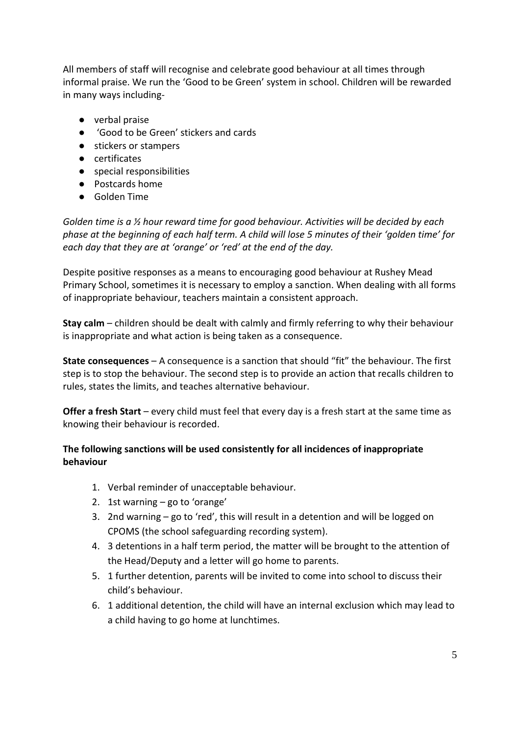All members of staff will recognise and celebrate good behaviour at all times through informal praise. We run the 'Good to be Green' system in school. Children will be rewarded in many ways including-

- verbal praise
- 'Good to be Green' stickers and cards
- stickers or stampers
- certificates
- special responsibilities
- Postcards home
- Golden Time

*Golden time is a ½ hour reward time for good behaviour. Activities will be decided by each phase at the beginning of each half term. A child will lose 5 minutes of their 'golden time' for each day that they are at 'orange' or 'red' at the end of the day.* 

Despite positive responses as a means to encouraging good behaviour at Rushey Mead Primary School, sometimes it is necessary to employ a sanction. When dealing with all forms of inappropriate behaviour, teachers maintain a consistent approach.

**Stay calm** – children should be dealt with calmly and firmly referring to why their behaviour is inappropriate and what action is being taken as a consequence.

**State consequences** – A consequence is a sanction that should "fit" the behaviour. The first step is to stop the behaviour. The second step is to provide an action that recalls children to rules, states the limits, and teaches alternative behaviour.

**Offer a fresh Start** – every child must feel that every day is a fresh start at the same time as knowing their behaviour is recorded.

#### **The following sanctions will be used consistently for all incidences of inappropriate behaviour**

- 1. Verbal reminder of unacceptable behaviour.
- 2. 1st warning go to 'orange'
- 3. 2nd warning go to 'red', this will result in a detention and will be logged on CPOMS (the school safeguarding recording system).
- 4. 3 detentions in a half term period, the matter will be brought to the attention of the Head/Deputy and a letter will go home to parents.
- 5. 1 further detention, parents will be invited to come into school to discuss their child's behaviour.
- 6. 1 additional detention, the child will have an internal exclusion which may lead to a child having to go home at lunchtimes.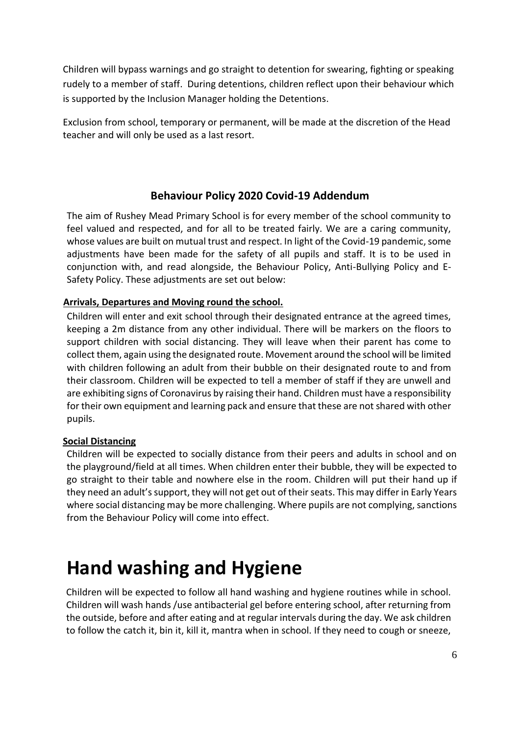Children will bypass warnings and go straight to detention for swearing, fighting or speaking rudely to a member of staff. During detentions, children reflect upon their behaviour which is supported by the Inclusion Manager holding the Detentions.

Exclusion from school, temporary or permanent, will be made at the discretion of the Head teacher and will only be used as a last resort.

#### **Behaviour Policy 2020 Covid-19 Addendum**

The aim of Rushey Mead Primary School is for every member of the school community to feel valued and respected, and for all to be treated fairly. We are a caring community, whose values are built on mutual trust and respect. In light of the Covid-19 pandemic, some adjustments have been made for the safety of all pupils and staff. It is to be used in conjunction with, and read alongside, the Behaviour Policy, Anti-Bullying Policy and E-Safety Policy. These adjustments are set out below:

#### **Arrivals, Departures and Moving round the school.**

Children will enter and exit school through their designated entrance at the agreed times, keeping a 2m distance from any other individual. There will be markers on the floors to support children with social distancing. They will leave when their parent has come to collect them, again using the designated route. Movement around the school will be limited with children following an adult from their bubble on their designated route to and from their classroom. Children will be expected to tell a member of staff if they are unwell and are exhibiting signs of Coronavirus by raising their hand. Children must have a responsibility for their own equipment and learning pack and ensure that these are not shared with other pupils.

#### **Social Distancing**

Children will be expected to socially distance from their peers and adults in school and on the playground/field at all times. When children enter their bubble, they will be expected to go straight to their table and nowhere else in the room. Children will put their hand up if they need an adult's support, they will not get out of their seats. This may differ in Early Years where social distancing may be more challenging. Where pupils are not complying, sanctions from the Behaviour Policy will come into effect.

### **Hand washing and Hygiene**

Children will be expected to follow all hand washing and hygiene routines while in school. Children will wash hands /use antibacterial gel before entering school, after returning from the outside, before and after eating and at regular intervals during the day. We ask children to follow the catch it, bin it, kill it, mantra when in school. If they need to cough or sneeze,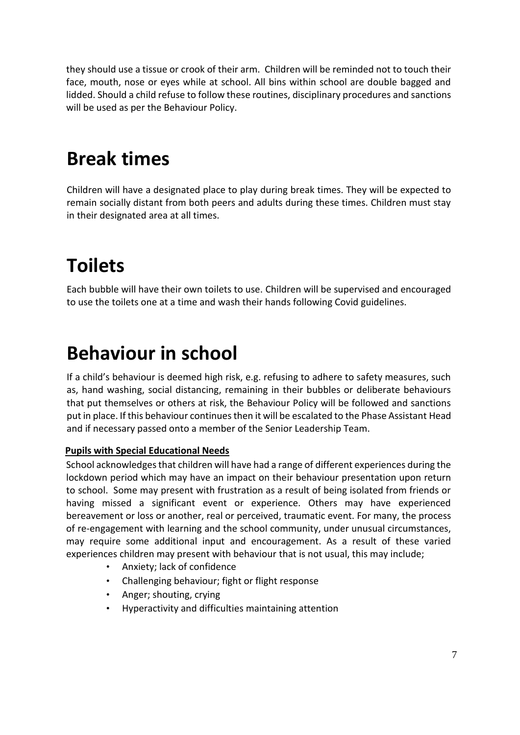they should use a tissue or crook of their arm. Children will be reminded not to touch their face, mouth, nose or eyes while at school. All bins within school are double bagged and lidded. Should a child refuse to follow these routines, disciplinary procedures and sanctions will be used as per the Behaviour Policy.

### **Break times**

Children will have a designated place to play during break times. They will be expected to remain socially distant from both peers and adults during these times. Children must stay in their designated area at all times.

# **Toilets**

Each bubble will have their own toilets to use. Children will be supervised and encouraged to use the toilets one at a time and wash their hands following Covid guidelines.

## **Behaviour in school**

If a child's behaviour is deemed high risk, e.g. refusing to adhere to safety measures, such as, hand washing, social distancing, remaining in their bubbles or deliberate behaviours that put themselves or others at risk, the Behaviour Policy will be followed and sanctions put in place. If this behaviour continues then it will be escalated to the Phase Assistant Head and if necessary passed onto a member of the Senior Leadership Team.

#### **Pupils with Special Educational Needs**

School acknowledges that children will have had a range of different experiences during the lockdown period which may have an impact on their behaviour presentation upon return to school. Some may present with frustration as a result of being isolated from friends or having missed a significant event or experience. Others may have experienced bereavement or loss or another, real or perceived, traumatic event. For many, the process of re-engagement with learning and the school community, under unusual circumstances, may require some additional input and encouragement. As a result of these varied experiences children may present with behaviour that is not usual, this may include;

- Anxiety; lack of confidence
- Challenging behaviour; fight or flight response
- Anger; shouting, crying
- Hyperactivity and difficulties maintaining attention